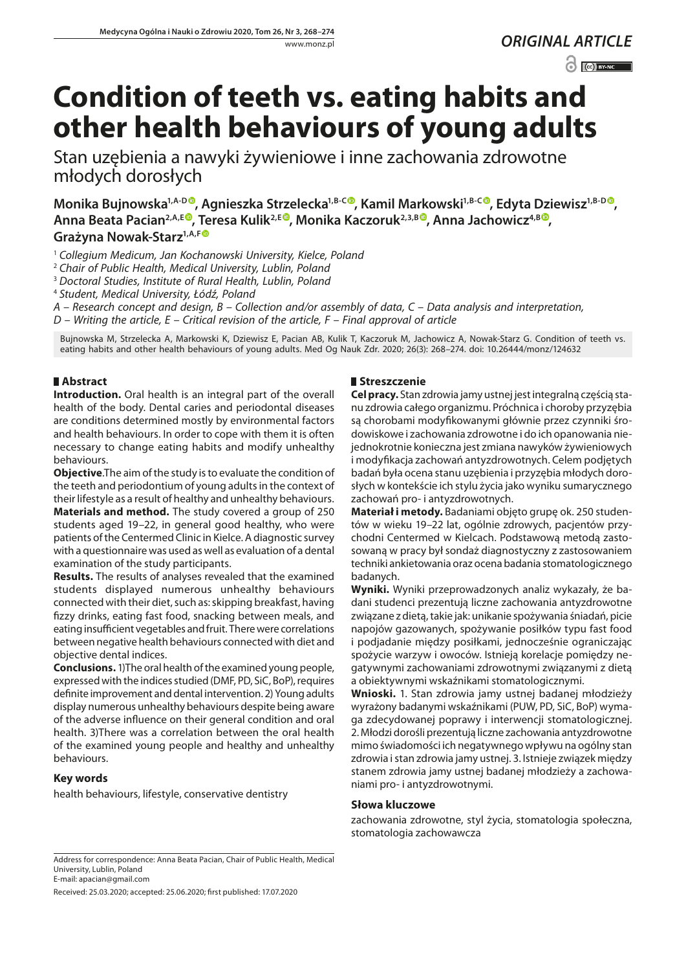# *ORIGINAL ARTICLE*

 $\odot$   $\odot$  BY-NC

# **Condition of teeth vs. eating habits and other health behaviours of young adults**

Stan uzębienia a nawyki żywieniowe i inne zachowania zdrowotne młodych dorosłych

**Monika Bujnowska<sup>1[,](https://orcid.org/0000-0002-8860-8613)A-D</sup>, Agnieszka Strzelecka<sup>1,B-C</sup>, Kamil Markowski<sup>1,B-C</sup>, Edyta Dziewisz<sup>1,B-D</sup>,** Anna Beata Pacian<sup>2[,](https://orcid.org/0000-0002-5983-374X)A,E®</sup>, Teresa Kulik<sup>2,E®</sup>, Monika Kaczoruk<sup>2,3,B®</sup>, Anna Jachowicz<sup>4,B®</sup>, Grażyna Nowak-Starz<sup>1, A, F®</sup>

<sup>1</sup> *Collegium Medicum, Jan Kochanowski University, Kielce, Poland*

<sup>2</sup> *Chair of Public Health, Medical University, Lublin, Poland*

<sup>3</sup> *Doctoral Studies, Institute of Rural Health, Lublin, Poland*

<sup>4</sup> *Student, Medical University, Łódź, Poland*

*A – Research concept and design, B – Collection and/or assembly of data, C – Data analysis and interpretation,* 

*D – Writing the article, E – Critical revision of the article, F – Final approval of article*

Bujnowska M, Strzelecka A, Markowski K, Dziewisz E, Pacian AB, Kulik T, Kaczoruk M, Jachowicz A, Nowak-Starz G. Condition of teeth vs. eating habits and other health behaviours of young adults. Med Og Nauk Zdr. 2020; 26(3): 268–274. doi: 10.26444/monz/124632

# **Abstract**

**Introduction.** Oral health is an integral part of the overall health of the body. Dental caries and periodontal diseases are conditions determined mostly by environmental factors and health behaviours. In order to cope with them it is often necessary to change eating habits and modify unhealthy behaviours.

**Objective**.The aim of the study is to evaluate the condition of the teeth and periodontium of young adults in the context of their lifestyle as a result of healthy and unhealthy behaviours. **Materials and method.** The study covered a group of 250 students aged 19–22, in general good healthy, who were patients of the Centermed Clinic in Kielce. A diagnostic survey with a questionnaire was used as well as evaluation of a dental examination of the study participants.

**Results.** The results of analyses revealed that the examined students displayed numerous unhealthy behaviours connected with their diet, such as: skipping breakfast, having fizzy drinks, eating fast food, snacking between meals, and eating insufficient vegetables and fruit. There were correlations between negative health behaviours connected with diet and objective dental indices.

**Conclusions.** 1)The oral health of the examined young people, expressed with the indices studied (DMF, PD, SiC, BoP), requires definite improvement and dental intervention. 2) Young adults display numerous unhealthy behaviours despite being aware of the adverse influence on their general condition and oral health. 3)There was a correlation between the oral health of the examined young people and healthy and unhealthy behaviours.

# **Key words**

health behaviours, lifestyle, conservative dentistry

#### **Streszczenie**

**Cel pracy.** Stan zdrowia jamy ustnej jest integralną częścią stanu zdrowia całego organizmu. Próchnica i choroby przyzębia są chorobami modyfikowanymi głównie przez czynniki środowiskowe i zachowania zdrowotne i do ich opanowania niejednokrotnie konieczna jest zmiana nawyków żywieniowych i modyfikacja zachowań antyzdrowotnych. Celem podjętych badań była ocena stanu uzębienia i przyzębia młodych dorosłych w kontekście ich stylu życia jako wyniku sumarycznego zachowań pro- i antyzdrowotnych.

**Materiał i metody.** Badaniami objęto grupę ok. 250 studentów w wieku 19–22 lat, ogólnie zdrowych, pacjentów przychodni Centermed w Kielcach. Podstawową metodą zastosowaną w pracy był sondaż diagnostyczny z zastosowaniem techniki ankietowania oraz ocena badania stomatologicznego badanych.

**Wyniki.** Wyniki przeprowadzonych analiz wykazały, że badani studenci prezentują liczne zachowania antyzdrowotne związane z dietą, takie jak: unikanie spożywania śniadań, picie napojów gazowanych, spożywanie posiłków typu fast food i podjadanie między posiłkami, jednocześnie ograniczając spożycie warzyw i owoców. Istnieją korelacje pomiędzy negatywnymi zachowaniami zdrowotnymi związanymi z dietą a obiektywnymi wskaźnikami stomatologicznymi.

**Wnioski.** 1. Stan zdrowia jamy ustnej badanej młodzieży wyrażony badanymi wskaźnikami (PUW, PD, SiC, BoP) wymaga zdecydowanej poprawy i interwencji stomatologicznej. 2. Młodzi dorośli prezentują liczne zachowania antyzdrowotne mimo świadomości ich negatywnego wpływu na ogólny stan zdrowia i stan zdrowia jamy ustnej. 3. Istnieje związek między stanem zdrowia jamy ustnej badanej młodzieży a zachowaniami pro- i antyzdrowotnymi.

#### **Słowa kluczowe**

zachowania zdrowotne, styl życia, stomatologia społeczna, stomatologia zachowawcza

Received: 25.03.2020; accepted: 25.06.2020; first published: 17.07.2020

Address for correspondence: Anna Beata Pacian, Chair of Public Health, Medical University, Lublin, Poland E-mail: [apacian@gmail.com](mailto:apacian@gmail.com)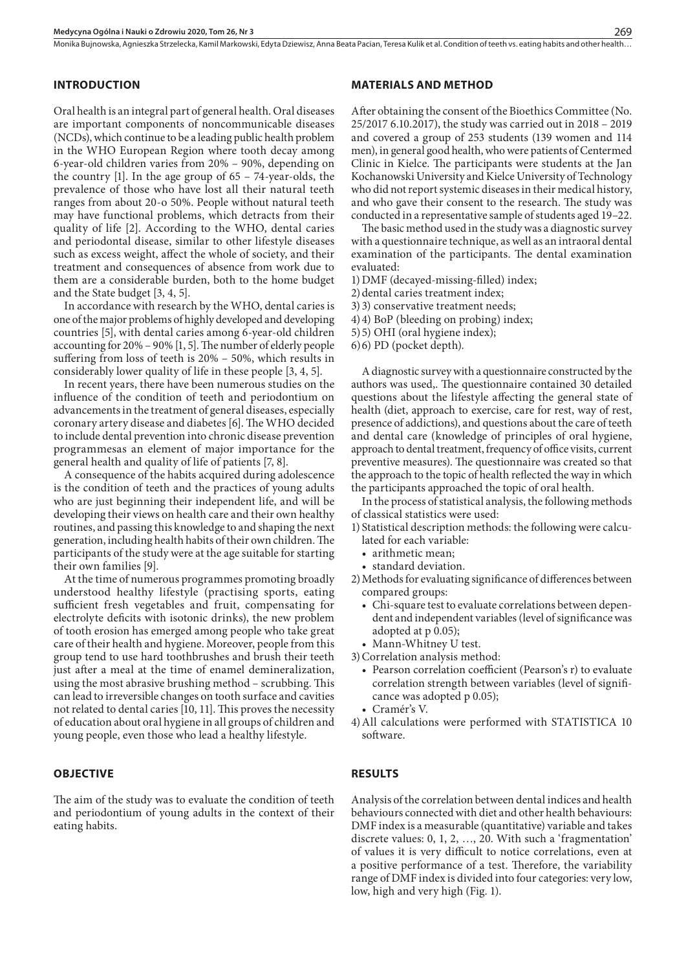Monika Bujnowska, Agnieszka Strzelecka, Kamil Markowski, Edyta Dziewisz, Anna Beata Pacian, Teresa Kulik et al. Condition of teeth vs. eating habits and other health…

# **INTRODUCTION**

Oral health is an integral part of general health. Oral diseases are important components of noncommunicable diseases (NCDs), which continue to be a leading public health problem in the WHO European Region where tooth decay among 6-year-old children varies from 20% – 90%, depending on the country [1]. In the age group of 65 – 74-year-olds, the prevalence of those who have lost all their natural teeth ranges from about 20-o 50%. People without natural teeth may have functional problems, which detracts from their quality of life [2]. According to the WHO, dental caries and periodontal disease, similar to other lifestyle diseases such as excess weight, affect the whole of society, and their treatment and consequences of absence from work due to them are a considerable burden, both to the home budget and the State budget [3, 4, 5].

In accordance with research by the WHO, dental caries is one of the major problems of highly developed and developing countries [5], with dental caries among 6-year-old children accounting for 20% – 90% [1, 5]. The number of elderly people suffering from loss of teeth is 20% – 50%, which results in considerably lower quality of life in these people [3, 4, 5].

In recent years, there have been numerous studies on the influence of the condition of teeth and periodontium on advancements in the treatment of general diseases, especially coronary artery disease and diabetes [6]. The WHO decided to include dental prevention into chronic disease prevention programmesas an element of major importance for the general health and quality of life of patients [7, 8].

A consequence of the habits acquired during adolescence is the condition of teeth and the practices of young adults who are just beginning their independent life, and will be developing their views on health care and their own healthy routines, and passing this knowledge to and shaping the next generation, including health habits of their own children. The participants of the study were at the age suitable for starting their own families [9].

At the time of numerous programmes promoting broadly understood healthy lifestyle (practising sports, eating sufficient fresh vegetables and fruit, compensating for electrolyte deficits with isotonic drinks), the new problem of tooth erosion has emerged among people who take great care of their health and hygiene. Moreover, people from this group tend to use hard toothbrushes and brush their teeth just after a meal at the time of enamel demineralization, using the most abrasive brushing method – scrubbing. This can lead to irreversible changes on tooth surface and cavities not related to dental caries [10, 11]. This proves the necessity of education about oral hygiene in all groups of children and young people, even those who lead a healthy lifestyle.

#### **OBJECTIVE**

The aim of the study was to evaluate the condition of teeth and periodontium of young adults in the context of their eating habits.

#### **MATERIALS AND METHOD**

After obtaining the consent of the Bioethics Committee (No. 25/2017 6.10.2017), the study was carried out in 2018 – 2019 and covered a group of 253 students (139 women and 114 men), in general good health, who were patients of Centermed Clinic in Kielce. The participants were students at the Jan Kochanowski University and Kielce University of Technology who did not report systemic diseases in their medical history, and who gave their consent to the research. The study was conducted in a representative sample of students aged 19–22.

The basic method used in the study was a diagnostic survey with a questionnaire technique, as well as an intraoral dental examination of the participants. The dental examination evaluated:

- 1)DMF (decayed-missing-filled) index;
- 2) dental caries treatment index;
- 3) 3) conservative treatment needs;
- 4)4) BoP (bleeding on probing) index;
- 5)5) OHI (oral hygiene index);
- 6)6) PD (pocket depth).

A diagnostic survey with a questionnaire constructed by the authors was used,. The questionnaire contained 30 detailed questions about the lifestyle affecting the general state of health (diet, approach to exercise, care for rest, way of rest, presence of addictions), and questions about the care of teeth and dental care (knowledge of principles of oral hygiene, approach to dental treatment, frequency of office visits, current preventive measures). The questionnaire was created so that the approach to the topic of health reflected the way in which the participants approached the topic of oral health.

In the process of statistical analysis, the following methods of classical statistics were used:

- 1) Statistical description methods: the following were calculated for each variable:
	- arithmetic mean;
	- • standard deviation.
- 2)Methods for evaluating significance of differences between compared groups:
	- Chi-square test to evaluate correlations between dependent and independent variables (level of significance was adopted at p 0.05);
- Mann-Whitney U test.
- 3)Correlation analysis method:
	- Pearson correlation coefficient (Pearson's r) to evaluate correlation strength between variables (level of significance was adopted p 0.05);
	- • Cramér's V.
- 4)All calculations were performed with STATISTICA 10 software.

#### **RESULTS**

Analysis of the correlation between dental indices and health behaviours connected with diet and other health behaviours: DMF index is a measurable (quantitative) variable and takes discrete values: 0, 1, 2, …, 20. With such a 'fragmentation' of values it is very difficult to notice correlations, even at a positive performance of a test. Therefore, the variability range of DMF index is divided into four categories: very low, low, high and very high (Fig. 1).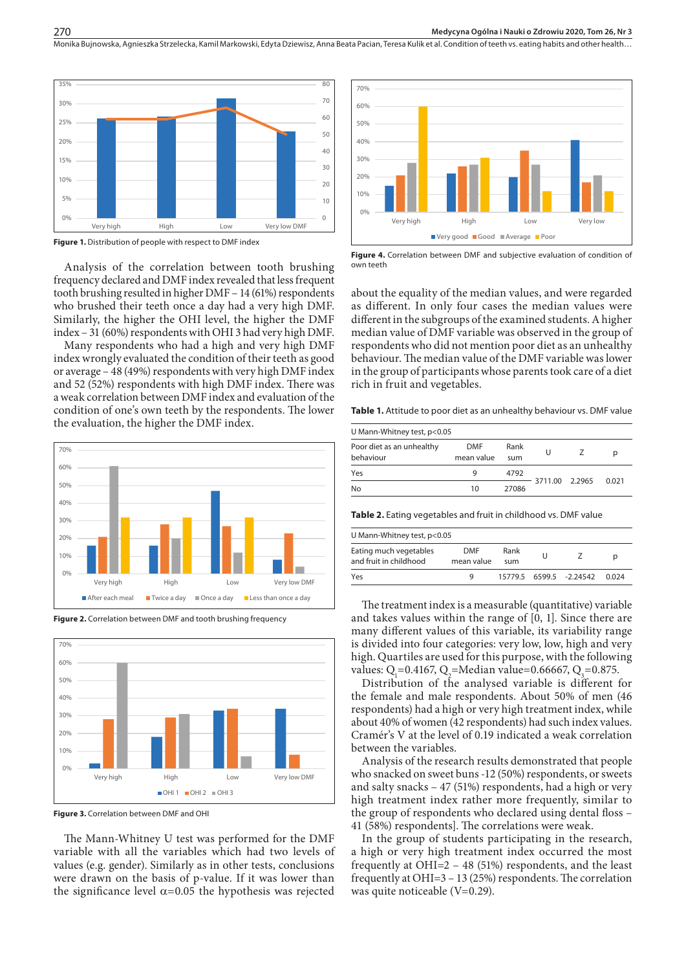Monika Bujnowska, Agnieszka Strzelecka, Kamil Markowski, Edyta Dziewisz, Anna Beata Pacian, Teresa Kulik et al. Condition of teeth ys. eating habits and other health..



**Figure 1.** Distribution of people with respect to DMF index

Analysis of the correlation between tooth brushing frequency declared and DMF index revealed that less frequent tooth brushing resulted in higher DMF – 14 (61%) respondents who brushed their teeth once a day had a very high DMF. Similarly, the higher the OHI level, the higher the DMF index – 31 (60%) respondents with OHI 3 had very high DMF.

Many respondents who had a high and very high DMF index wrongly evaluated the condition of their teeth as good or average – 48 (49%) respondents with very high DMF index and 52 (52%) respondents with high DMF index. There was a weak correlation between DMF index and evaluation of the condition of one's own teeth by the respondents. The lower the evaluation, the higher the DMF index.



**Figure 2.** Correlation between DMF and tooth brushing frequency



**Figure 3.** Correlation between DMF and OHI

The Mann-Whitney U test was performed for the DMF variable with all the variables which had two levels of values (e.g. gender). Similarly as in other tests, conclusions were drawn on the basis of p-value. If it was lower than the significance level  $\alpha$ =0.05 the hypothesis was rejected



**Figure 4.** Correlation between DMF and subjective evaluation of condition of own teeth

about the equality of the median values, and were regarded as different. In only four cases the median values were different in the subgroups of the examined students. A higher median value of DMF variable was observed in the group of respondents who did not mention poor diet as an unhealthy behaviour. The median value of the DMF variable was lower in the group of participants whose parents took care of a diet rich in fruit and vegetables.

Table 1. Attitude to poor diet as an unhealthy behaviour vs. DMF value

| U Mann-Whitney test, p<0.05            |                          |             |   |                |       |  |  |  |
|----------------------------------------|--------------------------|-------------|---|----------------|-------|--|--|--|
| Poor diet as an unhealthy<br>behaviour | <b>DMF</b><br>mean value | Rank<br>sum | U |                | р     |  |  |  |
| Yes                                    | a                        | 4792        |   | 3711.00 2.2965 | 0.021 |  |  |  |
| No                                     | 10                       | 27086       |   |                |       |  |  |  |

**Table 2.** Eating vegetables and fruit in childhood vs. DMF value

| Eating much vegetables<br>DMF<br>Rank<br>$0\%$ –<br>and fruit in childhood<br>mean value<br>sum<br>0%<br>Yes<br>$-2.24542$<br>6599.5<br>15779.5 | 0% |           |      |     |              | U Mann-Whitney test, p<0.05 |  |  |       |  |
|-------------------------------------------------------------------------------------------------------------------------------------------------|----|-----------|------|-----|--------------|-----------------------------|--|--|-------|--|
|                                                                                                                                                 |    |           |      |     |              |                             |  |  |       |  |
|                                                                                                                                                 |    | Very high | High | Low | Very low DMF |                             |  |  | 0.024 |  |

The treatment index is a measurable (quantitative) variable and takes values within the range of [0, 1]. Since there are many different values of this variable, its variability range is divided into four categories: very low, low, high and very high. Quartiles are used for this purpose, with the following values:  $Q_1 = 0.4167$ ,  $Q_2 =$ Median value=0.66667,  $Q_3 = 0.875$ .

Distribution of the analysed variable is different for the female and male respondents. About 50% of men (46 respondents) had a high or very high treatment index, while about 40% of women (42 respondents) had such index values. Cramér's V at the level of 0.19 indicated a weak correlation between the variables.

Analysis of the research results demonstrated that people who snacked on sweet buns -12 (50%) respondents, or sweets and salty snacks – 47 (51%) respondents, had a high or very high treatment index rather more frequently, similar to the group of respondents who declared using dental floss – 41 (58%) respondents]. The correlations were weak.

In the group of students participating in the research, a high or very high treatment index occurred the most frequently at OHI=2 – 48 (51%) respondents, and the least frequently at OHI=3 – 13 (25%) respondents. The correlation was quite noticeable (V=0.29).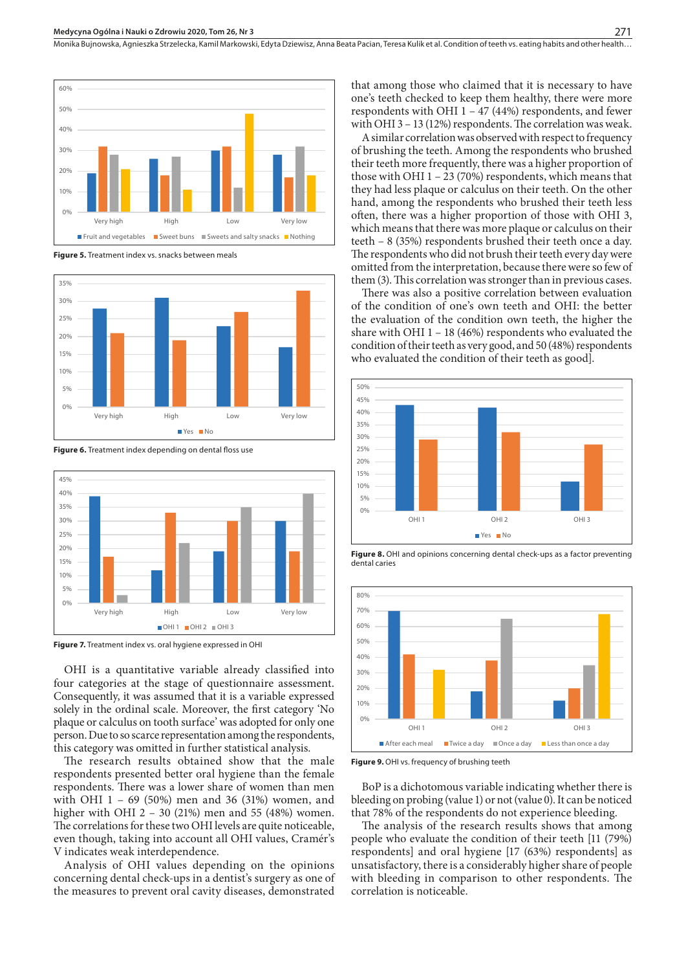

**Figure 5.** Treatment index vs. snacks between meals



**Figure 6.** Treatment index depending on dental floss use



**Figure 7.** Treatment index vs. oral hygiene expressed in OHI

OHI is a quantitative variable already classified into four categories at the stage of questionnaire assessment. Consequently, it was assumed that it is a variable expressed solely in the ordinal scale. Moreover, the first category 'No plaque or calculus on tooth surface' was adopted for only one person. Due to so scarce representation among the respondents, this category was omitted in further statistical analysis.

The research results obtained show that the male respondents presented better oral hygiene than the female respondents. There was a lower share of women than men with OHI 1 – 69 (50%) men and 36 (31%) women, and higher with OHI 2 – 30 (21%) men and 55 (48%) women. The correlations for these two OHI levels are quite noticeable, even though, taking into account all OHI values, Cramér's V indicates weak interdependence.

Analysis of OHI values depending on the opinions concerning dental check-ups in a dentist's surgery as one of the measures to prevent oral cavity diseases, demonstrated

that among those who claimed that it is necessary to have one's teeth checked to keep them healthy, there were more respondents with OHI 1 – 47 (44%) respondents, and fewer with OHI 3 – 13 (12%) respondents. The correlation was weak.

A similar correlation was observed with respect to frequency of brushing the teeth. Among the respondents who brushed their teeth more frequently, there was a higher proportion of those with OHI  $1 - 23$  (70%) respondents, which means that they had less plaque or calculus on their teeth. On the other hand, among the respondents who brushed their teeth less often, there was a higher proportion of those with OHI 3, which means that there was more plaque or calculus on their teeth – 8 (35%) respondents brushed their teeth once a day. The respondents who did not brush their teeth every day were omitted from the interpretation, because there were so few of them (3). This correlation was stronger than in previous cases.

There was also a positive correlation between evaluation of the condition of one's own teeth and OHI: the better the evaluation of the condition own teeth, the higher the share with OHI  $1 - 18$  (46%) respondents who evaluated the condition of their teeth as very good, and 50 (48%) respondents who evaluated the condition of their teeth as good].



**Figure 8.** OHI and opinions concerning dental check-ups as a factor preventing dental caries



**Figure 9.** OHI vs. frequency of brushing teeth

BoP is a dichotomous variable indicating whether there is bleeding on probing (value 1) or not (value 0). It can be noticed that 78% of the respondents do not experience bleeding.

The analysis of the research results shows that among people who evaluate the condition of their teeth [11 (79%) respondents] and oral hygiene [17 (63%) respondents] as unsatisfactory, there is a considerably higher share of people with bleeding in comparison to other respondents. The correlation is noticeable.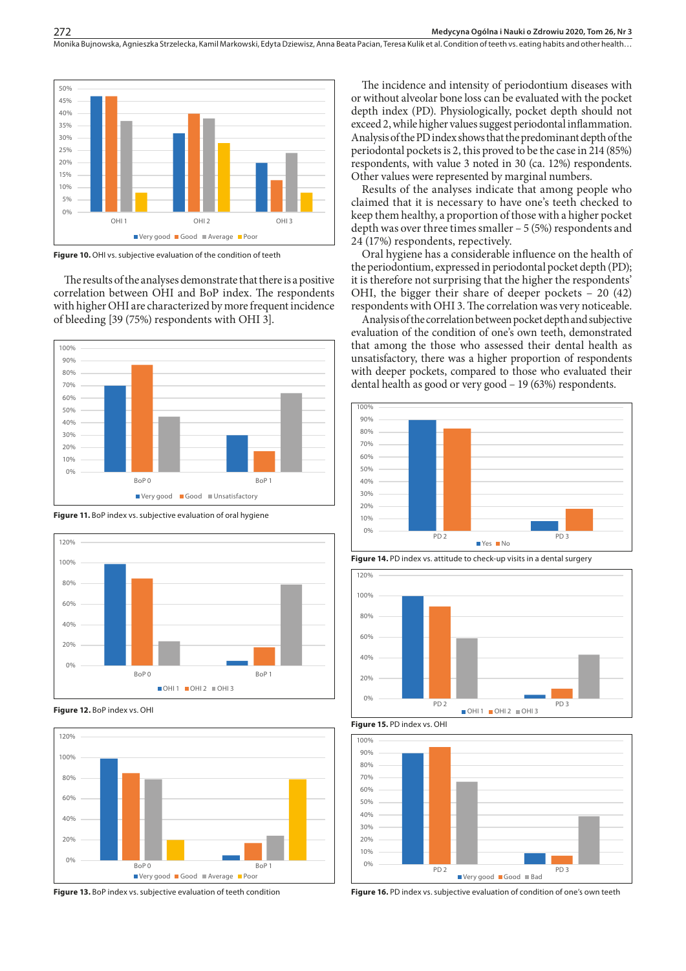

**Figure 10.** OHI vs. subjective evaluation of the condition of teeth

The results of the analyses demonstrate that there is a positive correlation between OHI and BoP index. The respondents with higher OHI are characterized by more frequent incidence of bleeding [39 (75%) respondents with OHI 3].







**Figure 12.** BoP index vs. OHI



**Figure 13.** BoP index vs. subjective evaluation of teeth condition

The incidence and intensity of periodontium diseases with or without alveolar bone loss can be evaluated with the pocket depth index (PD). Physiologically, pocket depth should not exceed 2, while higher values suggest periodontal inflammation. Analysis of the PD index shows that the predominant depth of the periodontal pockets is 2, this proved to be the case in 214 (85%) respondents, with value 3 noted in 30 (ca. 12%) respondents. Other values were represented by marginal numbers.

Results of the analyses indicate that among people who claimed that it is necessary to have one's teeth checked to keep them healthy, a proportion of those with a higher pocket depth was over three times smaller – 5 (5%) respondents and 24 (17%) respondents, repectively.

Oral hygiene has a considerable influence on the health of the periodontium, expressed in periodontal pocket depth (PD); it is therefore not surprising that the higher the respondents' OHI, the bigger their share of deeper pockets – 20 (42) respondents with OHI 3. The correlation was very noticeable.

Analysis of the correlation between pocket depth and subjective evaluation of the condition of one's own teeth, demonstrated that among the those who assessed their dental health as unsatisfactory, there was a higher proportion of respondents with deeper pockets, compared to those who evaluated their dental health as good or very good – 19 (63%) respondents.











**Figure 16.** PD index vs. subjective evaluation of condition of one's own teeth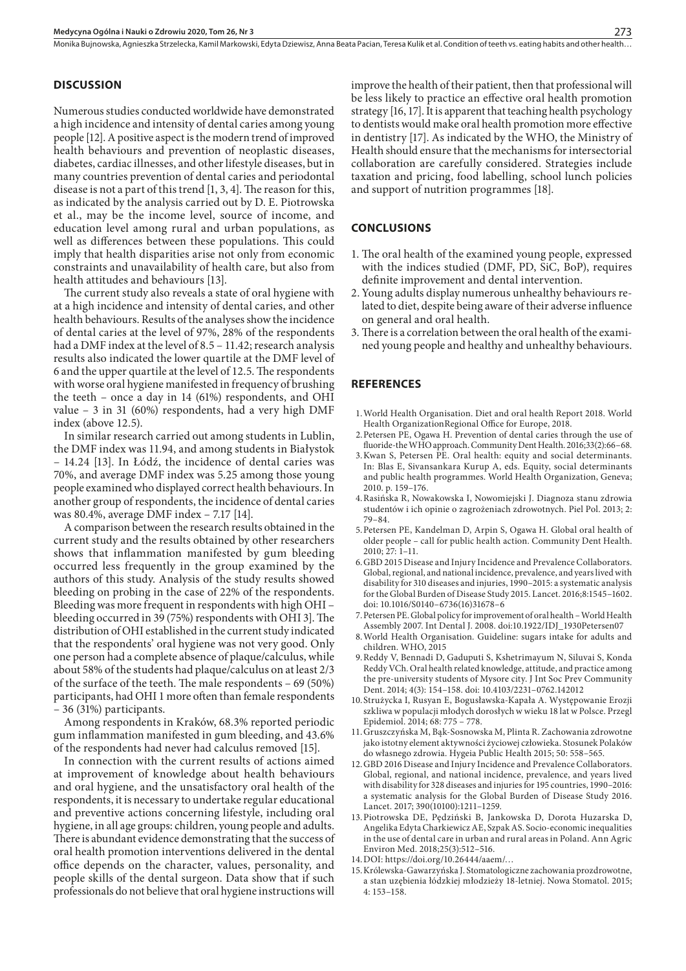Monika Bujnowska, Agnieszka Strzelecka, Kamil Markowski, Edyta Dziewisz, Anna Beata Pacian, Teresa Kulik et al. Condition of teeth vs. eating habits and other health.

#### **DISCUSSION**

Numerous studies conducted worldwide have demonstrated a high incidence and intensity of dental caries among young people [12]. A positive aspect is the modern trend of improved health behaviours and prevention of neoplastic diseases, diabetes, cardiac illnesses, and other lifestyle diseases, but in many countries prevention of dental caries and periodontal disease is not a part of this trend [1, 3, 4]. The reason for this, as indicated by the analysis carried out by D. E. Piotrowska et al., may be the income level, source of income, and education level among rural and urban populations, as well as differences between these populations. This could imply that health disparities arise not only from economic constraints and unavailability of health care, but also from health attitudes and behaviours [13].

The current study also reveals a state of oral hygiene with at a high incidence and intensity of dental caries, and other health behaviours. Results of the analyses show the incidence of dental caries at the level of 97%, 28% of the respondents had a DMF index at the level of 8.5 – 11.42; research analysis results also indicated the lower quartile at the DMF level of 6 and the upper quartile at the level of 12.5. The respondents with worse oral hygiene manifested in frequency of brushing the teeth – once a day in 14 (61%) respondents, and OHI value – 3 in 31 (60%) respondents, had a very high DMF index (above 12.5).

In similar research carried out among students in Lublin, the DMF index was 11.94, and among students in Białystok – 14.24 [13]. In Łódź, the incidence of dental caries was 70%, and average DMF index was 5.25 among those young people examined who displayed correct health behaviours. In another group of respondents, the incidence of dental caries was 80.4%, average DMF index – 7.17 [14].

A comparison between the research results obtained in the current study and the results obtained by other researchers shows that inflammation manifested by gum bleeding occurred less frequently in the group examined by the authors of this study. Analysis of the study results showed bleeding on probing in the case of 22% of the respondents. Bleeding was more frequent in respondents with high OHI – bleeding occurred in 39 (75%) respondents with OHI 3]. The distribution of OHI established in the current study indicated that the respondents' oral hygiene was not very good. Only one person had a complete absence of plaque/calculus, while about 58% of the students had plaque/calculus on at least 2/3 of the surface of the teeth. The male respondents – 69 (50%) participants, had OHI 1 more often than female respondents – 36 (31%) participants.

Among respondents in Kraków, 68.3% reported periodic gum inflammation manifested in gum bleeding, and 43.6% of the respondents had never had calculus removed [15].

In connection with the current results of actions aimed at improvement of knowledge about health behaviours and oral hygiene, and the unsatisfactory oral health of the respondents, it is necessary to undertake regular educational and preventive actions concerning lifestyle, including oral hygiene, in all age groups: children, young people and adults. There is abundant evidence demonstrating that the success of oral health promotion interventions delivered in the dental office depends on the character, values, personality, and people skills of the dental surgeon. Data show that if such professionals do not believe that oral hygiene instructions will

improve the health of their patient, then that professional will be less likely to practice an effective oral health promotion strategy [16, 17]. It is apparent that teaching health psychology to dentists would make oral health promotion more effective in dentistry [17]. As indicated by the WHO, the Ministry of Health should ensure that the mechanisms for intersectorial collaboration are carefully considered. Strategies include taxation and pricing, food labelling, school lunch policies and support of nutrition programmes [18].

#### **CONCLUSIONS**

- 1. The oral health of the examined young people, expressed with the indices studied (DMF, PD, SiC, BoP), requires definite improvement and dental intervention.
- 2. Young adults display numerous unhealthy behaviours related to diet, despite being aware of their adverse influence on general and oral health.
- 3. There is a correlation between the oral health of the examined young people and healthy and unhealthy behaviours.

#### **REFERENCES**

- 1.World Health Organisation. Diet and oral health Report 2018. World Health OrganizationRegional Office for Europe, 2018.
- 2.Petersen PE, Ogawa H. Prevention of dental caries through the use of fluoride-the WHO approach. Community Dent Health. 2016;33(2):66–68.
- 3.Kwan S, Petersen PE. Oral health: equity and social determinants. In: Blas E, Sivansankara Kurup A, eds. Equity, social determinants and public health programmes. World Health Organization, Geneva; 2010. p. 159–176.
- 4.Rasińska R, Nowakowska I, Nowomiejski J. Diagnoza stanu zdrowia studentów i ich opinie o zagrożeniach zdrowotnych. Piel Pol. 2013; 2: 79–84.
- 5.Petersen PE, Kandelman D, Arpin S, Ogawa H. Global oral health of older people – call for public health action. Community Dent Health. 2010; 27: 1–11.
- 6.GBD 2015 Disease and Injury Incidence and Prevalence Collaborators. Global, regional, and national incidence, prevalence, and years lived with disability for 310 diseases and injuries, 1990–2015: a systematic analysis for the Global Burden of Disease Study 2015. Lancet. 2016;8:1545–1602. doi: 10.1016/S0140–6736(16)31678–6
- 7.Petersen PE. Global policy for improvement of oral health World Health Assembly 2007. Int Dental J. 2008. doi:10.1922/IDJ\_1930Petersen07
- 8.World Health Organisation. Guideline: sugars intake for adults and children. WHO, 2015
- 9.Reddy V, Bennadi D, Gaduputi S, Kshetrimayum N, Siluvai S, Konda Reddy VCh. Oral health related knowledge, attitude, and practice among the pre-university students of Mysore city. J Int Soc Prev Community Dent. 2014; 4(3): 154–158. doi: 10.4103/2231–0762.142012
- 10.Strużycka I, Rusyan E, Bogusławska-Kapała A. Występowanie Erozji szkliwa w populacji młodych dorosłych w wieku 18 lat w Polsce. Przegl Epidemiol. 2014; 68: 775 – 778.
- 11.Gruszczyńska M, Bąk-Sosnowska M, Plinta R. Zachowania zdrowotne jako istotny element aktywności życiowej człowieka. Stosunek Polaków do własnego zdrowia. Hygeia Public Health 2015; 50: 558–565.
- 12.GBD 2016 Disease and Injury Incidence and Prevalence Collaborators. Global, regional, and national incidence, prevalence, and years lived with disability for 328 diseases and injuries for 195 countries, 1990–2016: a systematic analysis for the Global Burden of Disease Study 2016. Lancet. 2017; 390(10100):1211–1259.
- 13.Piotrowska DE, Pędziński B, Jankowska D, Dorota Huzarska D, Angelika Edyta Charkiewicz AE, Szpak AS. Socio-economic inequalities in the use of dental care in urban and rural areas in Poland. Ann Agric Environ Med. 2018;25(3):512–516.
- 14.DOI: https://doi.org/10.26444/aaem/…
- 15.Królewska-Gawarzyńska J. Stomatologiczne zachowania prozdrowotne, a stan uzębienia łódzkiej młodzieży 18-letniej. Nowa Stomatol. 2015; 4: 153–158.